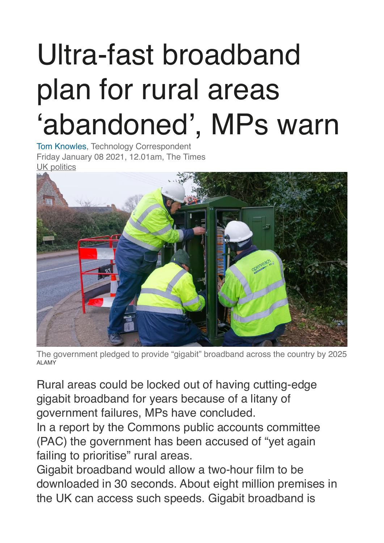## Ultra-fast broadband plan for rural areas 'abandoned', MPs warn

[Tom Knowles](https://www.thetimes.co.uk/profile/tom-knowles), Technology Correspondent Friday January 08 2021, 12.01am, The Times [UK politics](https://www.thetimes.co.uk/topic/uk-politics)



The government pledged to provide "gigabit" broadband across the country by 2025 ALAMY

Rural areas could be locked out of having cutting-edge gigabit broadband for years because of a litany of government failures, MPs have concluded.

In a report by the Commons public accounts committee (PAC) the government has been accused of "yet again failing to prioritise" rural areas.

Gigabit broadband would allow a two-hour film to be downloaded in 30 seconds. About eight million premises in the UK can access such speeds. Gigabit broadband is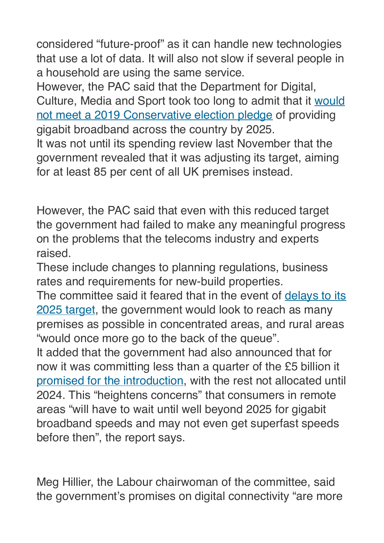considered "future-proof" as it can handle new technologies that use a lot of data. It will also not slow if several people in a household are using the same service.

However, the PAC said that the Department for Digital, Culture, Media and Sport took too long to admit that it [would](https://www.thetimes.co.uk/article/we-cant-abandon-broadband-pledges-while-splashing-out-on-hs2-tbc2px5mg)  [not meet a 2019 Conservative election pledge](https://www.thetimes.co.uk/article/we-cant-abandon-broadband-pledges-while-splashing-out-on-hs2-tbc2px5mg) of providing gigabit broadband across the country by 2025.

It was not until its spending review last November that the government revealed that it was adjusting its target, aiming for at least 85 per cent of all UK premises instead.

However, the PAC said that even with this reduced target the government had failed to make any meaningful progress on the problems that the telecoms industry and experts raised.

These include changes to planning regulations, business rates and requirements for new-build properties.

The committee said it feared that in the event of delays to its [2025 target,](https://www.thetimes.co.uk/article/target-for-superfast-broadband-unlikely-to-be-met-mps-warn-hsds5d7ss) the government would look to reach as many premises as possible in concentrated areas, and rural areas "would once more go to the back of the queue".

It added that the government had also announced that for now it was committing less than a quarter of the £5 billion it [promised for the introduction,](https://www.thetimes.co.uk/article/speed-gap-risk-in-broadband-target-0wss3lfmx) with the rest not allocated until 2024. This "heightens concerns" that consumers in remote areas "will have to wait until well beyond 2025 for gigabit broadband speeds and may not even get superfast speeds before then", the report says.

Meg Hillier, the Labour chairwoman of the committee, said the government's promises on digital connectivity "are more